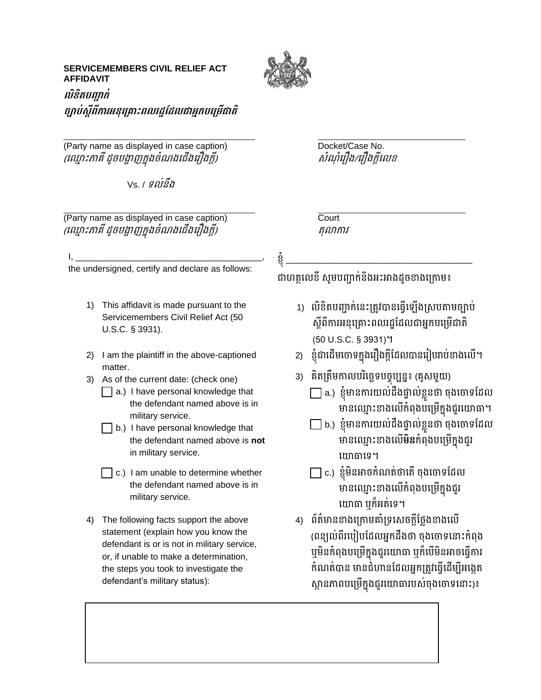## **SERVICEMEMBERS CIVIL RELIEF ACT AFFIDAVIT**



## **លិខិតបញ្ជាក់**  *ច្បាប់ស្តីពីការអនុគ្រោះពលរដ្ឋដែលជាអ្នកបម្រើជាតិ*

(Party name as displayed in case caption) Docket/Case No. (ឈ ្មោះភមគី ដូចបង្ហមញក្នុងចំណងឈ ើងឈ ឿងក្ដី) សំណ ំឈ ឿង/ឈ ឿងក្ដីឈេខ

Vs. / ទេ់នឹង

(Party name as displayed in case caption) Court (ឈ ្មោះភមគី ដូចបង្ហមញក្នុងចំណងឈ ើងឈ ឿងក្ដី) តុលមកម

I, \_\_\_\_\_\_\_\_\_\_\_\_\_\_\_\_\_\_\_\_\_\_\_\_\_\_\_\_\_\_\_\_\_\_\_\_\_\_, the undersigned, certify and declare as follows:

- 1) This affidavit is made pursuant to the Servicemembers Civil Relief Act (50 U.S.C. § 3931).
- 2) I am the plaintiff in the above-captioned matter
- 3) As of the current date: (check one)
	- $\Box$  a.) I have personal knowledge that the defendant named above is in military service.
	- $\Box$  b.) I have personal knowledge that the defendant named above is **not**  in military service.
	- $\Box$  c.) I am unable to determine whether the defendant named above is in military service.
- 4) The following facts support the above statement (explain how you know the defendant is or is not in military service, or, if unable to make a determination, the steps you took to investigate the defendant's military status):

ខ្ុំ \_\_\_\_\_\_\_\_\_\_\_\_\_\_\_\_\_\_\_\_\_\_\_\_\_\_\_\_\_\_\_\_\_\_\_\_\_\_

ជាហតលេខី សមបញ្ជាក់និងអះអាងដូចខាងក្រោម៖

- 1) លិខិតបញ្ជាក់នេះត្រូវបានធ្វើឡើងស្របតាមច្បាប់ ស្តីពីការអនុគ្រោះពលរដ្ឋដែលជាអ្នកបម្រើជាតិ (50 U.S.C. § 3931)។
- 2) ខ្ញុំជាដើមចោទក្នុងរឿងក្ដីដែលបានរៀបរាប់ខាងលើ។
- 3) គិតត្រឹមកាលបរិច្ឆេទបច្ចុប្បន្ន៖ (គូសមួយ)
	- $\Box$  a.) ខ្ញុំមានការយល់ដឹងផ្ទាល់ខ្លួនថា ចុងចោទដែល មានឈ្មោះខាងលើកំពុងបម្រើក្នុងជួរយោធា។
	- $\Box$  b.) ខ្ញុំមានការយល់ដឹងផ្ទាល់ខ្លួនថា ចុងចោទដែល មានឈ្មោះខាងលើ**មិន**កំពុងបម្រើក្នុងជួរ យោធាទេ។
	- $\Box$  c.) ខ្ញុំមិនអាចកំណត់ថាតើ ចុងចោទដែល មានឈ្មោះខាងលើកំពុងបម្រើក្នុងជួរ យោធា ឬក៏អត់ទេ។
- 4) ព័ត៌មានខាងក្រោមគាំទ្រសេចក្ដីថ្លែងខាងលើ (ពន្យល់ពីរបៀបដែលអ្នកដឹងថា ចុងចោទនោះកំពុង ឬមិនកំពុងបម្រើក្នុងជួរយោធា ឬក៏បើមិនអាចធ្វើការ កំណត់បាន មានជំហានដែលអ្នកត្រូវធ្វើដើម្បីអង្កេត ស្ថានភាពបម្រើក្នុងជួរយោធារបស់ចុងចោទនោះ)៖